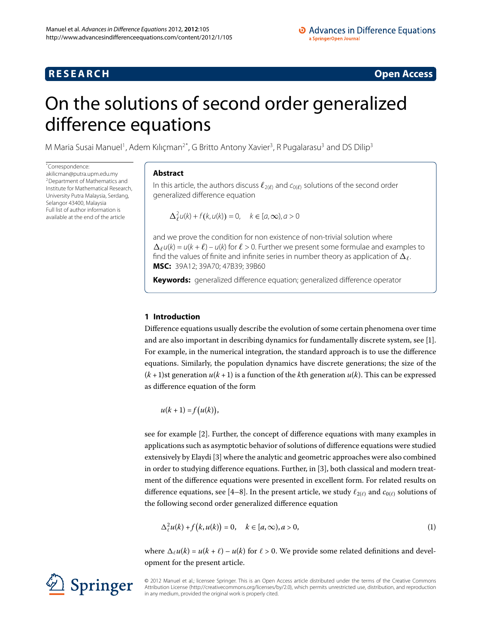## **RESEARCH CONSTRUCTER ACCESS**

# <span id="page-0-0"></span>On the solutions of second order generalized difference equations

M Maria Susai Manuel<sup>[1](#page-13-0)</sup>, Adem Kılıçman<sup>2[\\*](#page-0-0)</sup>, G Britto Antony Xavier<sup>[3](#page-13-2)</sup>, R Pugalarasu<sup>3</sup> and DS Dilip<sup>3</sup>

\* Correspondence:

[akilicman@putra.upm.edu.my](mailto:akilicman@putra.upm.edu.my) 2Department of Mathematics and Institute for Mathematical Research, University Putra Malaysia, Serdang, Selangor 43400, Malaysia Full list of author information is available at the end of the article

## **Abstract**

In this article, the authors discuss  $\ell_{2(\ell)}$  and  $c_{0(\ell)}$  solutions of the second order generalized difference equation

 $\Delta_{\ell}^{2} u(k) + f(k, u(k)) = 0, \quad k \in [a, \infty), a > 0$ 

and we prove the condition for non existence of non-trivial solution where  $\Delta_{\ell} u(k) = u(k + \ell) - u(k)$  for  $\ell > 0$ . Further we present some formulae and examples to find the values of finite and infinite series in number theory as application of  $\Delta \rho$ . . **MSC:** 39A12; 39A70; 47B39; 39B60

**Keywords:** generalized difference equation; generalized difference operator

## **1 Introduction**

Difference equations usually describe the evolution of some certain phenomena over time and are also important in describing dynamics for fundamentally discrete system, see [\[\]](#page-13-3). For example, in the numerical integration, the standard approach is to use the difference equations. Similarly, the population dynamics have discrete generations; the size of the  $(k+1)$ st generation  $u(k+1)$  is a function of the *k*th generation  $u(k)$ . This can be expressed as difference equation of the form

<span id="page-0-1"></span> $u(k + 1) = f(u(k)),$ 

see for example [\[](#page-13-4)2]. Further, the concept of difference equations with many examples in applications such as asymptotic behavior of solutions of difference equations were studied extensively by Elaydi [3[\]](#page-13-5) where the analytic and geometric approaches were also combined in order to studying difference equations. Further, in [3[\]](#page-13-5), both classical and modern treatment of the difference equations were presented in excellent form. For related results on difference equations, see [\[](#page-13-6)4[–](#page-13-7)8]. In the present article, we study  $\ell_{2(\ell)}$  and  $c_{0(\ell)}$  solutions of the following second order generalized difference equation

$$
\Delta_{\ell}^2 u(k) + f(k, u(k)) = 0, \quad k \in [a, \infty), a > 0,
$$
\n(1)

where  $\Delta_{\ell} u(k) = u(k + \ell) - u(k)$  for  $\ell > 0$ . We provide some related definitions and development for the present article.

Springer

© 2012 Manuel et al.; licensee Springer. This is an Open Access article distributed under the terms of the Creative Commons Attribution License [\(http://creativecommons.org/licenses/by/2.0](http://creativecommons.org/licenses/by/2.0)), which permits unrestricted use, distribution, and reproduction in any medium, provided the original work is properly cited.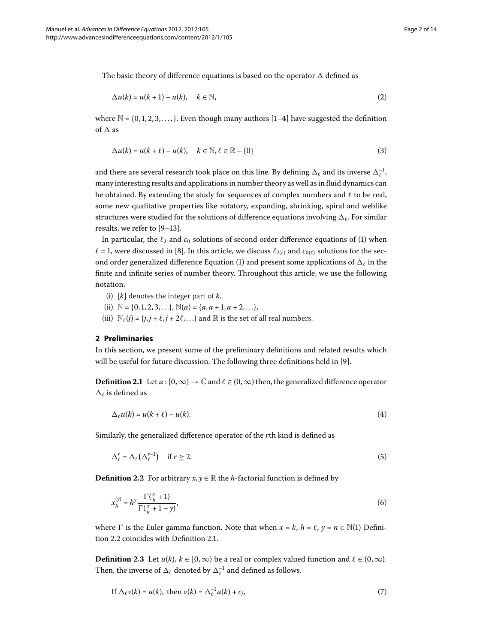The basic theory of difference equations is based on the operator  $\Delta$  defined as

<span id="page-1-3"></span>
$$
\Delta u(k) = u(k+1) - u(k), \quad k \in \mathbb{N}, \tag{2}
$$

where  $\mathbb{N} = \{0, 1, 2, 3, \ldots\}$ . Even though many authors [1[–](#page-13-3)4] have suggested the definition of  $\Delta$  as

$$
\Delta u(k) = u(k + \ell) - u(k), \quad k \in \mathbb{N}, \ell \in \mathbb{R} - \{0\}
$$
 (3)

and there are several research took place on this line. By defining  $\Delta_\ell$  and its inverse  $\Delta_\ell^{-1}$ , many interesting results and applications in number theory as well as in fluid dynamics can be obtained. By extending the study for sequences of complex numbers and  $\ell$  to be real, some new qualitative properties like rotatory, expanding, shrinking, spiral and weblike structures were studied for the solutions of difference equations involving  $\Delta_\ell.$  For similar results, we refer to  $[9-13]$  $[9-13]$ .

In particular, the  $\ell_2$  and  $c_0$  solutions of second order difference equations of (1) when  $\ell$  = 1, were discussed in [8[\]](#page-13-7). In this article, we discuss  $\ell_{2(\ell)}$  and  $c_{0(\ell)}$  solutions for the sec-ond order generalized difference Equation [\(](#page-0-1)1) and present some applications of  $\Delta_\ell$  in the finite and infinite series of number theory. Throughout this article, we use the following notation:

- (i) [*k*] denotes the integer part of *k*,
- <span id="page-1-1"></span>(ii)  $\mathbb{N} = \{0, 1, 2, 3, \ldots\}, \mathbb{N}(a) = \{a, a + 1, a + 2, \ldots\},\$
- (iii)  $\mathbb{N}_{\ell}(j) = \{j, j + \ell, j + 2\ell, \ldots\}$  and  $\mathbb{R}$  is the set of all real numbers.

### **2 Preliminaries**

In this section, we present some of the preliminary definitions and related results which will be useful for future discussion. The following three definitions held in [9].

**Definition 2.1** Let  $u : [0, \infty) \to \mathbb{C}$  and  $\ell \in (0, \infty)$  then, the generalized difference operator  $\Delta_{\ell}$  is defined as

<span id="page-1-0"></span>
$$
\Delta_{\ell}u(k) = u(k+\ell) - u(k). \tag{4}
$$

Similarly, the generalized difference operator of the *r*th kind is defined as

$$
\Delta_{\ell}^{r} = \Delta_{\ell} \left( \Delta_{\ell}^{r-1} \right) \quad \text{if } r \ge 2. \tag{5}
$$

<span id="page-1-2"></span>**Definition 2.2** For arbitrary  $x, y \in \mathbb{R}$  the *h*-factorial function is defined by

$$
x_h^{(y)} = h^y \frac{\Gamma\left(\frac{x}{h} + 1\right)}{\Gamma\left(\frac{x}{h} + 1 - y\right)},\tag{6}
$$

where  $\Gamma$  is the Euler gamma function. Note that when  $x = k$ ,  $h = \ell$ ,  $y = n \in \mathbb{N}(1)$  Defini-tion 2[.](#page-1-0)2 coincides with Definition 2.1.

**Definition 2.3** Let  $u(k)$ ,  $k \in [0, \infty)$  be a real or complex valued function and  $\ell \in (0, \infty)$ . Then, the inverse of  $\Delta_{\ell}$  denoted by  $\Delta_{\ell}^{-1}$  and defined as follows.

If 
$$
\Delta_{\ell} v(k) = u(k)
$$
, then  $v(k) = \Delta_{\ell}^{-1} u(k) + c_j$ , (7)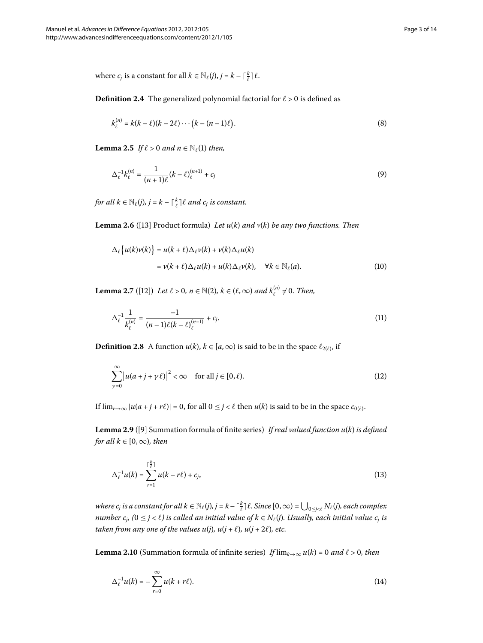where  $c_j$  is a constant for all  $k \in \mathbb{N}_{\ell}(j), j = k - \lceil \frac{k}{\ell} \rceil \ell$ .

**Definition 2.4** The generalized polynomial factorial for  $\ell > 0$  is defined as

$$
k_{\ell}^{(n)} = k(k - \ell)(k - 2\ell) \cdots (k - (n - 1)\ell).
$$
 (8)

**Lemma 2.5** If  $\ell > 0$  and  $n \in \mathbb{N}_{\ell}(1)$  then,

<span id="page-2-4"></span>
$$
\Delta_{\ell}^{-1}k_{\ell}^{(n)} = \frac{1}{(n+1)\ell}(k-\ell)_{\ell}^{(n+1)} + c_j
$$
\n(9)

*for all*  $k \in \mathbb{N}_{\ell}(j)$ ,  $j = k - \lceil \frac{k}{\ell} \rceil \ell$  and  $c_j$  is constant.

<span id="page-2-1"></span>**Lemma 2.6** ([13] Product formula) *Let*  $u(k)$  *and*  $v(k)$  *be any two functions. Then* 

$$
\Delta_{\ell}\left\{u(k)v(k)\right\} = u(k+\ell)\Delta_{\ell}v(k) + v(k)\Delta_{\ell}u(k)
$$
  
=  $v(k+\ell)\Delta_{\ell}u(k) + u(k)\Delta_{\ell}v(k), \quad \forall k \in \mathbb{N}_{\ell}(a).$  (10)

<span id="page-2-3"></span>**Lemma 2.7** ([12]) *Let*  $\ell > 0$ ,  $n \in \mathbb{N}(2)$ ,  $k \in (\ell, \infty)$  and  $k_{\ell}^{(n)} \neq 0$ . Then,

$$
\Delta_{\ell}^{-1} \frac{1}{k_{\ell}^{(n)}} = \frac{-1}{(n-1)\ell(k-\ell)_{\ell}^{(n-1)}} + c_j.
$$
\n(11)

**Definition 2.8** A function  $u(k)$ ,  $k \in [a, \infty)$  is said to be in the space  $\ell_{2(\ell)}$ , if

<span id="page-2-5"></span>
$$
\sum_{\gamma=0}^{\infty} |u(a+j+\gamma \ell)|^2 < \infty \quad \text{for all } j \in [0,\ell). \tag{12}
$$

If  $\lim_{r\to\infty} |u(a+j+r\ell)| = 0$ , for all  $0 \leq j < \ell$  then  $u(k)$  is said to be in the space  $c_{0(\ell)}$ .

Lemma 2.9 ([9] Summation formula of finite series) *If real valued function u(k) is defined for all*  $k \in [0, \infty)$ *, then* 

<span id="page-2-2"></span><span id="page-2-0"></span>
$$
\Delta_{\ell}^{-1}u(k) = \sum_{r=1}^{\lceil \frac{k}{\ell} \rceil} u(k - r\ell) + c_j,
$$
\n(13)

 $where$   $c_j$  is a constant for all  $k \in \mathbb{N}_{\ell}(j)$ ,  $j = k - \lceil \frac{k}{\ell} \rceil \ell$ . Since  $[0, \infty) = \bigcup_{0 \leq j < \ell} N_{\ell}(j)$ , each complex *number c<sub>i</sub>, (*0  $\le$  *j* <  $\ell$ ) is called an initial value of k  $\in$  N $_{\ell}$ (j). Usually, each initial value c<sub>j</sub> is taken from any one of the values  $u(j)$ ,  $u(j + \ell)$ ,  $u(j + 2\ell)$ , etc.

**Lemma 2.10** (Summation formula of infinite series) *If*  $\lim_{k\to\infty} u(k) = 0$  and  $\ell > 0$ , then

$$
\Delta_{\ell}^{-1}u(k) = -\sum_{r=0}^{\infty} u(k+r\ell). \tag{14}
$$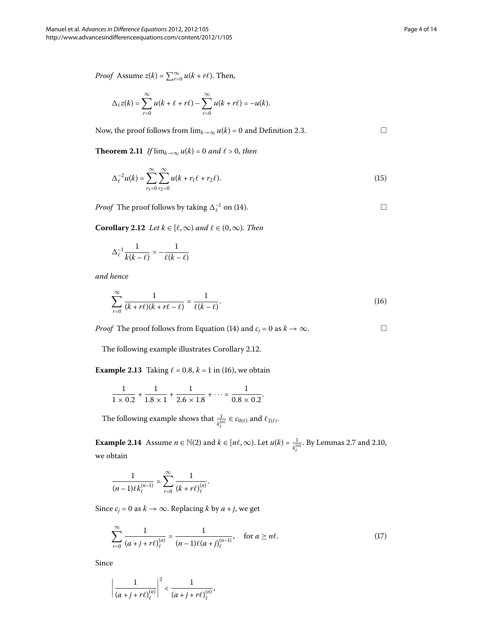*Proof* Assume  $z(k) = \sum_{r=0}^{\infty} u(k + r\ell)$ . Then,

$$
\Delta_{\ell} z(k) = \sum_{r=0}^{\infty} u(k+\ell+r\ell) - \sum_{r=0}^{\infty} u(k+r\ell) = -u(k).
$$

Now, the proof follows from  $\lim_{k\to\infty} u(k) = 0$  and Definition 2[.](#page-1-2)3.  $\Box$ 

<span id="page-3-0"></span>**Theorem 2.11** If  $\lim_{k\to\infty} u(k) = 0$  and  $\ell > 0$ , then

$$
\Delta_{\ell}^{-2}u(k) = \sum_{r_1=0}^{\infty} \sum_{r_2=0}^{\infty} u(k + r_1\ell + r_2\ell). \tag{15}
$$

*Proof* The proof follows by taking  $\Delta_{\ell}^{-1}$  on (14[\)](#page-2-0).

**Corollary 2.12** *Let*  $k \in [\ell, \infty)$  *and*  $\ell \in (0, \infty)$ *. Then* 

$$
\Delta_{\ell}^{-1} \frac{1}{k(k-\ell)} = -\frac{1}{\ell(k-\ell)}
$$

*and hence*

$$
\sum_{r=0}^{\infty} \frac{1}{(k+r\ell)(k+r\ell-\ell)} = \frac{1}{\ell(k-\ell)}.
$$
\n(16)

*Proof* The proof follows from Equation (14[\)](#page-2-0) and  $c_j = 0$  as  $k \to \infty$ .  $\Box$ 

The following example illustrates Corollary 2.12.

**Example 2.13** Taking  $\ell = 0.8$ ,  $k = 1$  in (16[\)](#page-3-1), we obtain

$$
\frac{1}{1 \times 0.2} + \frac{1}{1.8 \times 1} + \frac{1}{2.6 \times 1.8} + \dots = \frac{1}{0.8 \times 0.2}.
$$

The following example shows that  $\frac{1}{k_{\ell}^{(n)}} \in c_{0(\ell)}$  and  $\ell_{2(\ell)}$ .

**Example 2[.](#page-2-1)14** Assume  $n \in \mathbb{N}(2)$  and  $k \in [n\ell, \infty)$ . Let  $u(k) = \frac{1}{k_{\ell}^{(n)}}$ . By Lemmas 2.7 and 2.10, we obtain

<span id="page-3-2"></span>
$$
\frac{1}{(n-1)\ell k_{\ell}^{(n-1)}}=\sum_{r=0}^{\infty}\frac{1}{(k+r\ell)_{\ell}^{(n)}}.
$$

Since  $c_j = 0$  as  $k \to \infty$ . Replacing  $k$  by  $a + j$ , we get

$$
\sum_{r=0}^{\infty} \frac{1}{(a+j+r\ell)_{\ell}^{(n)}} = \frac{1}{(n-1)\ell(a+j)_{\ell}^{(n-1)}}, \quad \text{for } a \ge n\ell.
$$
 (17)

Since

$$
\left|\frac{1}{(a+j+r\ell)_{\ell}^{(n)}}\right|^2 < \frac{1}{(a+j+r\ell)_{\ell}^{(n)}},
$$

<span id="page-3-1"></span> $\Box$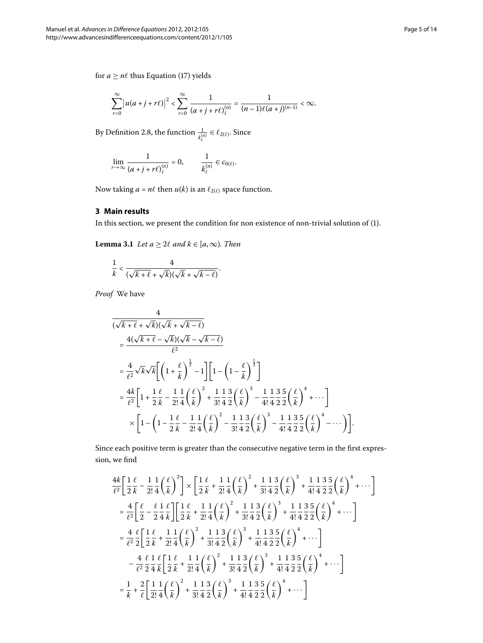$$
\sum_{r=0}^{\infty} |u(a+j+r\ell)|^2 < \sum_{r=0}^{\infty} \frac{1}{(a+j+r\ell)_{\ell}^{(n)}} = \frac{1}{(n-1)\ell(a+j)^{(n-1)}} < \infty.
$$

By Definition 2[.](#page-2-3)8, the function  $\frac{1}{k_{\ell}^{(n)}} \in \ell_{2(\ell)}$ . Since

$$
\lim_{r\to\infty}\frac{1}{(a+j+r\ell)_{\ell}^{(n)}}=0,\qquad \frac{1}{k_{\ell}^{(n)}}\in c_{0(\ell)}.
$$

<span id="page-4-0"></span>Now taking  $a = n\ell$  then  $u(k)$  is an  $\ell_{2(\ell)}$  space function.

## **3 Main results**

In this section, we present the condition for non existence of non-trivial solution of [\(](#page-0-1)1).

**Lemma 3.1** *Let*  $a \geq 2\ell$  *and*  $k \in [a, \infty)$ *. Then* 

$$
\frac{1}{k} < \frac{4}{(\sqrt{k+\ell}+\sqrt{k})(\sqrt{k}+\sqrt{k-\ell})}.
$$

*Proof* We have

$$
\frac{4}{(\sqrt{k+\ell} + \sqrt{k})(\sqrt{k} + \sqrt{k-\ell})}
$$
\n
$$
= \frac{4(\sqrt{k+\ell} - \sqrt{k})(\sqrt{k} - \sqrt{k-\ell})}{\ell^2}
$$
\n
$$
= \frac{4}{\ell^2} \sqrt{k} \sqrt{k} \left[ \left( 1 + \frac{\ell}{k} \right)^{\frac{1}{2}} - 1 \right] \left[ 1 - \left( 1 - \frac{\ell}{k} \right)^{\frac{1}{2}} \right]
$$
\n
$$
= \frac{4k}{\ell^2} \left[ 1 + \frac{1}{2} \frac{\ell}{k} - \frac{1}{2!} \frac{1}{4} \left( \frac{\ell}{k} \right)^2 + \frac{1}{3!} \frac{1}{4} \frac{3}{2} \left( \frac{\ell}{k} \right)^3 - \frac{1}{4!} \frac{1}{4} \frac{3}{2} \frac{5}{2} \left( \frac{\ell}{k} \right)^4 + \cdots \right]
$$
\n
$$
\times \left[ 1 - \left( 1 - \frac{1}{2} \frac{\ell}{k} - \frac{1}{2!} \frac{1}{4} \left( \frac{\ell}{k} \right)^2 - \frac{1}{3!} \frac{1}{4} \frac{3}{2} \left( \frac{\ell}{k} \right)^3 - \frac{1}{4!} \frac{1}{4} \frac{3}{2} \frac{5}{2} \left( \frac{\ell}{k} \right)^4 - \cdots \right) \right].
$$

Since each positive term is greater than the consecutive negative term in the first expression, we find

$$
\frac{4k}{\ell^2} \left[ \frac{1}{2} \frac{\ell}{k} - \frac{1}{2!} \frac{1}{4} \left( \frac{\ell}{k} \right)^2 \right] \times \left[ \frac{1}{2} \frac{\ell}{k} + \frac{1}{2!} \frac{1}{4} \left( \frac{\ell}{k} \right)^2 + \frac{1}{3!} \frac{1}{4} \frac{3}{2} \left( \frac{\ell}{k} \right)^3 + \frac{1}{4!} \frac{1}{4} \frac{3}{2} \frac{5}{2} \left( \frac{\ell}{k} \right)^4 + \cdots \right] \n= \frac{4}{\ell^2} \left[ \frac{\ell}{2} - \frac{\ell}{2} \frac{1}{4} \frac{\ell}{k} \right] \left[ \frac{1}{2} \frac{\ell}{k} + \frac{1}{2!} \frac{1}{4} \left( \frac{\ell}{k} \right)^2 + \frac{1}{3!} \frac{1}{4} \frac{3}{2} \left( \frac{\ell}{k} \right)^3 + \frac{1}{4!} \frac{1}{4} \frac{3}{2} \frac{5}{2} \left( \frac{\ell}{k} \right)^4 + \cdots \right] \n= \frac{4}{\ell^2} \frac{\ell}{2} \left[ \frac{1}{2} \frac{\ell}{k} + \frac{1}{2!} \frac{1}{4} \left( \frac{\ell}{k} \right)^2 + \frac{1}{3!} \frac{1}{4} \frac{3}{2} \left( \frac{\ell}{k} \right)^3 + \frac{1}{4!} \frac{1}{4} \frac{3}{2} \frac{5}{2} \left( \frac{\ell}{k} \right)^4 + \cdots \right] \n- \frac{4}{\ell^2} \frac{\ell}{2} \frac{1}{4} \frac{\ell}{k} \left[ \frac{1}{2} \frac{\ell}{k} + \frac{1}{2!} \frac{1}{4} \left( \frac{\ell}{k} \right)^2 + \frac{1}{3!} \frac{1}{4} \frac{3}{2} \left( \frac{\ell}{k} \right)^3 + \frac{1}{4!} \frac{1}{4} \frac{3}{2} \frac{5}{2} \left( \frac{\ell}{k} \right)^4 + \cdots \right] \n= \frac{1}{k} + \frac{2}{\ell} \left[ \frac{1}{2!} \frac{1}{4} \left( \frac{\ell}{k}
$$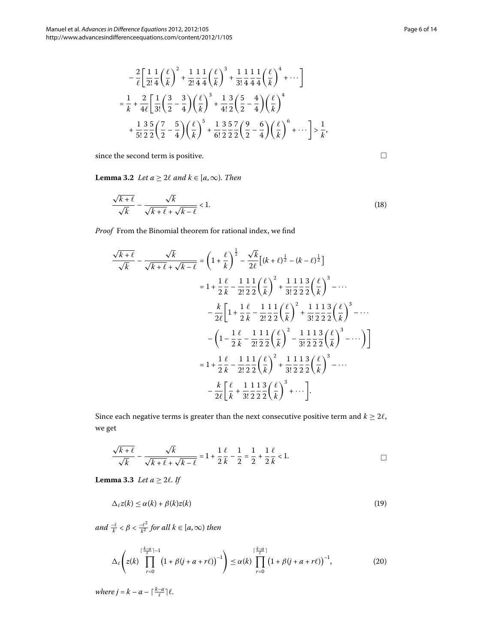<span id="page-5-2"></span>
$$
-\frac{2}{\ell} \left[ \frac{1}{2!} \frac{1}{4} \left( \frac{\ell}{k} \right)^2 + \frac{1}{2!} \frac{1}{4} \frac{1}{4} \left( \frac{\ell}{k} \right)^3 + \frac{1}{3!} \frac{1}{4} \frac{1}{4} \frac{1}{4} \left( \frac{\ell}{k} \right)^4 + \cdots \right]
$$
  

$$
=\frac{1}{k} + \frac{2}{4\ell} \left[ \frac{1}{3!} \left( \frac{3}{2} - \frac{3}{4} \right) \left( \frac{\ell}{k} \right)^3 + \frac{1}{4!} \frac{3}{2} \left( \frac{5}{2} - \frac{4}{4} \right) \left( \frac{\ell}{k} \right)^4 + \frac{1}{5!} \frac{3}{2} \frac{5}{2} \left( \frac{7}{2} - \frac{5}{4} \right) \left( \frac{\ell}{k} \right)^5 + \frac{1}{6!} \frac{3}{2} \frac{5}{2} \frac{7}{2} \left( \frac{9}{2} - \frac{6}{4} \right) \left( \frac{\ell}{k} \right)^6 + \cdots \right] > \frac{1}{k'},
$$

since the second term is positive.

**Lemma 3.2** Let  $a \geq 2\ell$  and  $k \in [a, \infty)$ . Then

$$
\frac{\sqrt{k+\ell}}{\sqrt{k}} - \frac{\sqrt{k}}{\sqrt{k+\ell} + \sqrt{k-\ell}} < 1. \tag{18}
$$

*Proof* From the Binomial theorem for rational index, we find

$$
\frac{\sqrt{k+\ell}}{\sqrt{k}} - \frac{\sqrt{k}}{\sqrt{k+\ell} + \sqrt{k-\ell}} = \left(1 + \frac{\ell}{k}\right)^{\frac{1}{2}} - \frac{\sqrt{k}}{2\ell} \left[(k+\ell)^{\frac{1}{2}} - (k-\ell)^{\frac{1}{2}}\right]
$$
  
\n
$$
= 1 + \frac{1}{2} \frac{\ell}{k} - \frac{1}{2!} \frac{1}{2} \frac{1}{2} \left(\frac{\ell}{k}\right)^{2} + \frac{1}{3!} \frac{1}{2} \frac{1}{2} \frac{3}{2} \left(\frac{\ell}{k}\right)^{3} - \cdots
$$
  
\n
$$
- \frac{k}{2\ell} \left[1 + \frac{1}{2} \frac{\ell}{k} - \frac{1}{2!} \frac{1}{2} \frac{1}{2} \left(\frac{\ell}{k}\right)^{2} + \frac{1}{3!} \frac{1}{2} \frac{1}{2} \frac{3}{2} \left(\frac{\ell}{k}\right)^{3} - \cdots\right]
$$
  
\n
$$
- \left(1 - \frac{1}{2} \frac{\ell}{k} - \frac{1}{2!} \frac{1}{2} \frac{1}{2} \left(\frac{\ell}{k}\right)^{2} - \frac{1}{3!} \frac{1}{2} \frac{1}{2} \frac{3}{2} \left(\frac{\ell}{k}\right)^{3} - \cdots\right)\right]
$$
  
\n
$$
= 1 + \frac{1}{2} \frac{\ell}{k} - \frac{1}{2!} \frac{1}{2} \frac{1}{2} \left(\frac{\ell}{k}\right)^{2} + \frac{1}{3!} \frac{1}{2} \frac{1}{2} \frac{3}{2} \left(\frac{\ell}{k}\right)^{3} - \cdots
$$
  
\n
$$
- \frac{k}{2\ell} \left[\frac{\ell}{k} + \frac{1}{3!} \frac{1}{2} \frac{3}{2} \left(\frac{\ell}{k}\right)^{3} + \cdots\right].
$$

<span id="page-5-3"></span>Since each negative terms is greater than the next consecutive positive term and  $k \geq 2\ell$ , we get

<span id="page-5-0"></span>
$$
\frac{\sqrt{k+\ell}}{\sqrt{k}} - \frac{\sqrt{k}}{\sqrt{k+\ell} + \sqrt{k-\ell}} = 1 + \frac{1}{2} \frac{\ell}{k} - \frac{1}{2} = \frac{1}{2} + \frac{1}{2} \frac{\ell}{k} < 1. \tag{1}
$$

**Lemma 3.3** *Let*  $a \geq 2l$ *. If* 

<span id="page-5-1"></span>
$$
\Delta_{\ell} z(k) \le \alpha(k) + \beta(k) z(k) \tag{19}
$$

 $and \frac{-\ell}{k} < \beta < \frac{-\ell^2}{k^2}$  for all  $k \in [a, \infty)$  then

$$
\Delta_{\ell}\left(z(k)\prod_{r=0}^{\lceil\frac{k-a}{\ell}\rceil-1}\left(1+\beta(j+a+r\ell)\right)^{-1}\right)\leq\alpha(k)\prod_{r=0}^{\lceil\frac{k-a}{\ell}\rceil}\left(1+\beta(j+a+r\ell)\right)^{-1},\tag{20}
$$

*where*  $j = k - a - \lceil \frac{k-a}{\ell} \rceil \ell$ .

 $\Box$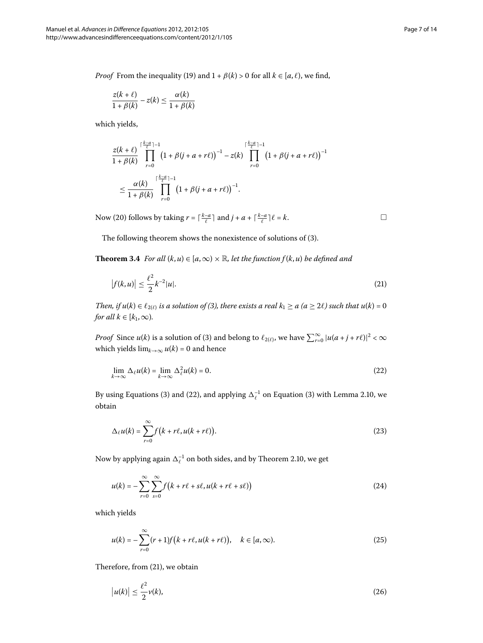*Proof* From the inequality (19) and  $1 + \beta(k) > 0$  for all  $k \in [a, \ell)$ , we find,

$$
\frac{z(k+\ell)}{1+\beta(k)} - z(k) \le \frac{\alpha(k)}{1+\beta(k)}
$$

which yields,

$$
\frac{z(k+\ell)}{1+\beta(k)}\prod_{r=0}^{\lceil\frac{k-a}{\ell}\rceil-1}\left(1+\beta(j+a+r\ell)\right)^{-1}-z(k)\prod_{r=0}^{\lceil\frac{k-a}{\ell}\rceil-1}\left(1+\beta(j+a+r\ell)\right)^{-1}
$$
  

$$
\leq \frac{\alpha(k)}{1+\beta(k)}\prod_{r=0}^{\lceil\frac{k-a}{\ell}\rceil-1}\left(1+\beta(j+a+r\ell)\right)^{-1}.
$$

<span id="page-6-4"></span>Now (20[\)](#page-5-1) follows by taking  $r = \lceil \frac{k-a}{\ell} \rceil$  and  $j + a + \lceil \frac{k-a}{\ell} \rceil \ell = k$ .

The following theorem shows the nonexistence of solutions of (3[\)](#page-1-3).

**Theorem 3.4** For all  $(k, u) \in [a, \infty) \times \mathbb{R}$ , let the function  $f(k, u)$  be defined and

$$
|f(k, u)| \le \frac{\ell^2}{2} k^{-2} |u|.
$$
 (21)

*Then, if*  $u(k) \in \ell_{2(\ell)}$  $u(k) \in \ell_{2(\ell)}$  $u(k) \in \ell_{2(\ell)}$  *is a solution of (3), there exists a real*  $k_1 \ge a$  ( $a \ge 2\ell$ ) such that  $u(k) = 0$ *for all*  $k \in [k_1, \infty)$ *.* 

*Proof* Since  $u(k)$  $u(k)$  $u(k)$  is a solution of (3) and belong to  $\ell_{2(\ell)}$ , we have  $\sum_{r=0}^{\infty} |u(a+j+r\ell)|^2 < \infty$ which yields  $\lim_{k\to\infty} u(k) = 0$  and hence

$$
\lim_{k \to \infty} \Delta_{\ell} u(k) = \lim_{k \to \infty} \Delta_{\ell}^{2} u(k) = 0.
$$
\n(22)

By using Equations [\(](#page-1-3)3[\)](#page-1-3) and (22), and applying  $\Delta_{\ell}^{-1}$  on Equation (3) with Lemma 2[.](#page-2-2)10, we obtain

$$
\Delta_{\ell}u(k) = \sum_{r=0}^{\infty} f(k + r\ell, u(k + r\ell)).
$$
\n(23)

Now by applying again  $\Delta_{\ell}^{-1}$  on both sides, and by Theorem 2.10, we get

$$
u(k) = -\sum_{r=0}^{\infty} \sum_{s=0}^{\infty} f(k + r\ell + s\ell, u(k + r\ell + s\ell))
$$
\n(24)

which yields

<span id="page-6-2"></span>
$$
u(k) = -\sum_{r=0}^{\infty} (r+1)f(k+r\ell, u(k+r\ell)), \quad k \in [a,\infty).
$$
 (25)

Therefore, from  $(21)$  $(21)$ , we obtain

$$
\left|u(k)\right| \le \frac{\ell^2}{2}\nu(k),\tag{26}
$$

<span id="page-6-3"></span><span id="page-6-1"></span><span id="page-6-0"></span> $\Box$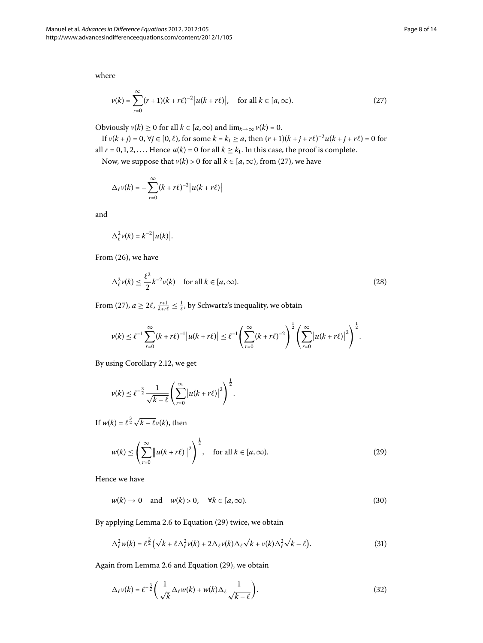where

<span id="page-7-0"></span>
$$
\nu(k) = \sum_{r=0}^{\infty} (r+1)(k+r\ell)^{-2} |u(k+r\ell)|, \quad \text{for all } k \in [a,\infty).
$$
 (27)

Obviously  $v(k) \ge 0$  for all  $k \in [a, \infty)$  and  $\lim_{k \to \infty} v(k) = 0$ .

If  $v(k + j) = 0$ ,  $\forall j \in [0, \ell)$ , for some  $k = k_1 \ge a$ , then  $(r + 1)(k + j + r\ell)^{-2}u(k + j + r\ell) = 0$  for all  $r = 0, 1, 2, \ldots$ . Hence  $u(k) = 0$  for all  $k \ge k_1$ . In this case, the proof is complete.

Now, we suppose that  $v(k) > 0$  $v(k) > 0$  $v(k) > 0$  for all  $k \in [a, \infty)$ , from (27), we have

$$
\Delta_{\ell} v(k) = -\sum_{r=0}^{\infty} (k+r\ell)^{-2} |u(k+r\ell)|
$$

and

<span id="page-7-4"></span>
$$
\Delta^2_{\ell} \nu(k) = k^{-2} |u(k)|.
$$

From  $(26)$  $(26)$ , we have

$$
\Delta_{\ell}^2 \nu(k) \le \frac{\ell^2}{2} k^{-2} \nu(k) \quad \text{for all } k \in [a, \infty). \tag{28}
$$

From [\(](#page-7-0)27),  $a \ge 2\ell$ ,  $\frac{r+1}{k+r\ell} \le \frac{1}{\ell}$ , by Schwartz's inequality, we obtain

$$
\nu(k) \leq \ell^{-1} \sum_{r=0}^{\infty} (k+r\ell)^{-1} |u(k+r\ell)| \leq \ell^{-1} \left( \sum_{r=0}^{\infty} (k+r\ell)^{-2} \right)^{\frac{1}{2}} \left( \sum_{r=0}^{\infty} |u(k+r\ell)|^2 \right)^{\frac{1}{2}}.
$$

By using Corollary 2.12, we get

<span id="page-7-1"></span>
$$
\nu(k) \leq \ell^{-\frac{3}{2}} \frac{1}{\sqrt{k-\ell}} \left( \sum_{r=0}^{\infty} \left| u(k+r\ell) \right|^2 \right)^{\frac{1}{2}}.
$$

If  $w(k) = \ell^{\frac{3}{2}}\sqrt{k-\ell}v(k)$ , then

<span id="page-7-5"></span><span id="page-7-2"></span>
$$
w(k) \le \left(\sum_{r=0}^{\infty} \|u(k+r\ell)\|^2\right)^{\frac{1}{2}}, \quad \text{for all } k \in [a,\infty).
$$
 (29)

Hence we have

<span id="page-7-3"></span>
$$
w(k) \to 0 \quad \text{and} \quad w(k) > 0, \quad \forall k \in [a, \infty). \tag{30}
$$

By applying Lemma 2[.](#page-2-4)6 to Equation [\(](#page-7-1)29) twice, we obtain

$$
\Delta_{\ell}^2 w(k) = \ell^{\frac{3}{2}} \left( \sqrt{k + \ell} \Delta_{\ell}^2 v(k) + 2 \Delta_{\ell} v(k) \Delta_{\ell} \sqrt{k} + v(k) \Delta_{\ell}^2 \sqrt{k - \ell} \right).
$$
 (31)

Again from Lemma 2[.](#page-2-4)6 and Equation [\(](#page-7-1)29), we obtain

$$
\Delta_{\ell} \nu(k) = \ell^{-\frac{3}{2}} \left( \frac{1}{\sqrt{k}} \Delta_{\ell} w(k) + w(k) \Delta_{\ell} \frac{1}{\sqrt{k - \ell}} \right).
$$
\n(32)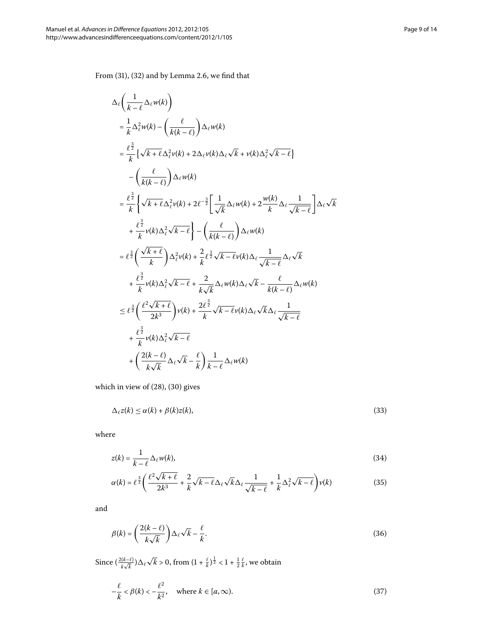From  $(31)$  $(31)$ ,  $(32)$  and by Lemma 2[.](#page-2-4)6, we find that

$$
\Delta_{\ell} \left( \frac{1}{k - \ell} \Delta_{\ell} w(k) \right)
$$
\n
$$
= \frac{1}{k} \Delta_{\ell}^{2} w(k) - \left( \frac{\ell}{k(k - \ell)} \right) \Delta_{\ell} w(k)
$$
\n
$$
= \frac{\ell^{\frac{3}{2}}}{k} \left\{ \sqrt{k + \ell} \Delta_{\ell}^{2} v(k) + 2 \Delta_{\ell} v(k) \Delta_{\ell} \sqrt{k} + v(k) \Delta_{\ell}^{2} \sqrt{k - \ell} \right\}
$$
\n
$$
- \left( \frac{\ell}{k(k - \ell)} \right) \Delta_{\ell} w(k)
$$
\n
$$
= \frac{\ell^{\frac{3}{2}}}{k} \left\{ \sqrt{k + \ell} \Delta_{\ell}^{2} v(k) + 2 \ell^{-\frac{3}{2}} \left[ \frac{1}{\sqrt{k}} \Delta_{\ell} w(k) + 2 \frac{w(k)}{k} \Delta_{\ell} \frac{1}{\sqrt{k - \ell}} \right] \Delta_{\ell} \sqrt{k} \right\}
$$
\n
$$
+ \frac{\ell^{\frac{3}{2}}}{k} v(k) \Delta_{\ell}^{2} \sqrt{k - \ell} \right\} - \left( \frac{\ell}{k(k - \ell)} \right) \Delta_{\ell} w(k)
$$
\n
$$
= \ell^{\frac{3}{2}} \left( \frac{\sqrt{k + \ell}}{k} \right) \Delta_{\ell}^{2} v(k) + \frac{2}{k} \ell^{\frac{3}{2}} \sqrt{k - \ell} v(k) \Delta_{\ell} \frac{1}{\sqrt{k - \ell}} \Delta_{\ell} \sqrt{k}
$$
\n
$$
+ \frac{\ell^{\frac{3}{2}}}{k} v(k) \Delta_{\ell}^{2} \sqrt{k - \ell} + \frac{2}{k \sqrt{k}} \Delta_{\ell} w(k) \Delta_{\ell} \sqrt{k} - \frac{\ell}{k(k - \ell)} \Delta_{\ell} w(k)
$$
\n
$$
\leq \ell^{\frac{3}{2}} \left( \frac{\ell^{2} \sqrt{k + \ell}}{2k^{3}} \right) v(k) + \frac{2 \ell^{\frac{3}{2}}}{k} \sqrt{k - \ell} v(k) \Delta_{\ell} \sqrt{k} \Delta_{\ell} \frac{1}{\sqrt{k - \ell}}
$$
\n
$$
+ \frac{\ell^{\frac{3}{2}}}{k} v(k) \Delta_{\
$$

which in view of  $(28)$  $(28)$ ,  $(30)$  gives

<span id="page-8-0"></span>
$$
\Delta_{\ell} z(k) \le \alpha(k) + \beta(k) z(k),\tag{33}
$$

where

$$
z(k) = \frac{1}{k - \ell} \Delta_{\ell} w(k),
$$
\n(34)

$$
\alpha(k) = \ell^{\frac{3}{2}} \left( \frac{\ell^2 \sqrt{k} + \ell}{2k^3} + \frac{2}{k} \sqrt{k} - \ell \Delta_\ell \sqrt{k} \Delta_\ell \frac{1}{\sqrt{k} - \ell} + \frac{1}{k} \Delta_\ell^2 \sqrt{k} - \ell \right) \nu(k) \tag{35}
$$

and

<span id="page-8-1"></span>
$$
\beta(k) = \left(\frac{2(k-\ell)}{k\sqrt{k}}\right)\Delta_{\ell}\sqrt{k} - \frac{\ell}{k}.\tag{36}
$$

Since  $\left(\frac{2(k-\ell)}{k\sqrt{k}}\right)$  $\frac{((k-\ell)}{k\sqrt{k}})\Delta_{\ell}\sqrt{k}$  > 0, from  $(1+\frac{\ell}{k})^{\frac{1}{2}} < 1+\frac{1}{2}\frac{\ell}{k}$ , we obtain

$$
-\frac{\ell}{k} < \beta(k) < -\frac{\ell^2}{k^2}, \quad \text{where } k \in [a, \infty). \tag{37}
$$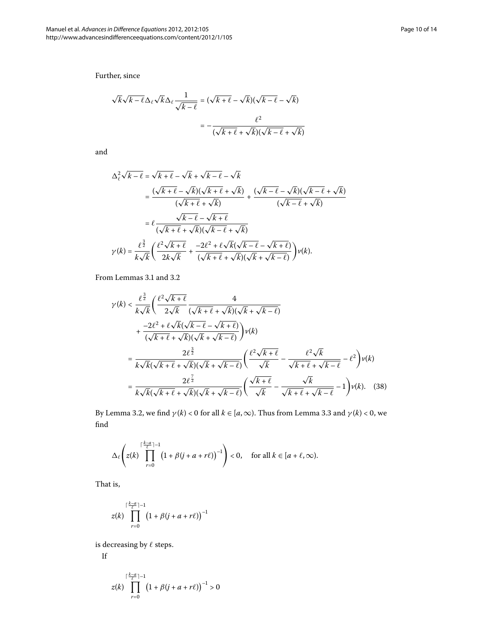Further, since

$$
\sqrt{k}\sqrt{k-\ell}\Delta_{\ell}\sqrt{k}\Delta_{\ell}\frac{1}{\sqrt{k-\ell}} = (\sqrt{k+\ell}-\sqrt{k})(\sqrt{k-\ell}-\sqrt{k})
$$

$$
= -\frac{\ell^{2}}{(\sqrt{k+\ell}+\sqrt{k})(\sqrt{k-\ell}+\sqrt{k})}
$$

and

$$
\Delta_{\ell}^{2}\sqrt{k-\ell} = \sqrt{k+\ell} - \sqrt{k} + \sqrt{k-\ell} - \sqrt{k}
$$
\n
$$
= \frac{(\sqrt{k+\ell} - \sqrt{k})(\sqrt{k+\ell} + \sqrt{k})}{(\sqrt{k+\ell} + \sqrt{k})} + \frac{(\sqrt{k-\ell} - \sqrt{k})(\sqrt{k-\ell} + \sqrt{k})}{(\sqrt{k-\ell} + \sqrt{k})}
$$
\n
$$
= \ell \frac{\sqrt{k-\ell} - \sqrt{k+\ell}}{(\sqrt{k+\ell} + \sqrt{k})(\sqrt{k-\ell} + \sqrt{k})}
$$
\n
$$
\gamma(k) = \frac{\ell^{\frac{3}{2}}}{k\sqrt{k}} \left(\frac{\ell^{2}\sqrt{k+\ell}}{2k\sqrt{k}} + \frac{-2\ell^{2} + \ell\sqrt{k}(\sqrt{k-\ell} - \sqrt{k+\ell})}{(\sqrt{k+\ell} + \sqrt{k})(\sqrt{k} + \sqrt{k-\ell})}\right) \nu(k).
$$

From Lemmas 3[.](#page-5-2)1 and 3.2

$$
\gamma(k) < \frac{\ell^{\frac{3}{2}}}{k\sqrt{k}} \left( \frac{\ell^2 \sqrt{k+\ell}}{2\sqrt{k}} \frac{4}{(\sqrt{k+\ell} + \sqrt{k})(\sqrt{k} + \sqrt{k-\ell})} + \frac{-2\ell^2 + \ell \sqrt{k}(\sqrt{k-\ell} - \sqrt{k+\ell})}{(\sqrt{k+\ell} + \sqrt{k})(\sqrt{k} + \sqrt{k-\ell})} \right) \nu(k)
$$
\n
$$
= \frac{2\ell^{\frac{3}{2}}}{k\sqrt{k}(\sqrt{k+\ell} + \sqrt{k})(\sqrt{k} + \sqrt{k-\ell})} \left( \frac{\ell^2 \sqrt{k+\ell}}{\sqrt{k}} - \frac{\ell^2 \sqrt{k}}{\sqrt{k+\ell} + \sqrt{k-\ell}} - \ell^2 \right) \nu(k)
$$
\n
$$
= \frac{2\ell^{\frac{7}{2}}}{k\sqrt{k}(\sqrt{k+\ell} + \sqrt{k})(\sqrt{k} + \sqrt{k-\ell})} \left( \frac{\sqrt{k+\ell}}{\sqrt{k}} - \frac{\sqrt{k}}{\sqrt{k+\ell} + \sqrt{k-\ell}} - 1 \right) \nu(k). \quad (38)
$$

By Lemma 3[.](#page-5-3)2, we find  $\gamma(k) < 0$  for all  $k \in [a, \infty)$ . Thus from Lemma 3.3 and  $\gamma(k) < 0$ , we find

$$
\Delta_{\ell}\left(z(k)\prod_{r=0}^{\lceil\frac{k-a}{\ell}\rceil-1}\left(1+\beta(j+a+r\ell)\right)^{-1}\right)<0,\quad \text{for all }k\in[a+\ell,\infty).
$$

That is,

$$
z(k)\prod_{r=0}^{\lceil\frac{k-a}{\ell}\rceil-1}\bigl(1+\beta(j+a+r\ell)\bigr)^{-1}
$$

is decreasing by  $\ell$  steps.

$$
\mathop{\rm If}\nolimits
$$

$$
z(k)\prod_{r=0}^{\lceil\frac{k-a}{\ell}\rceil-1}\bigl(1+\beta(j+a+r\ell)\bigr)^{-1}>0
$$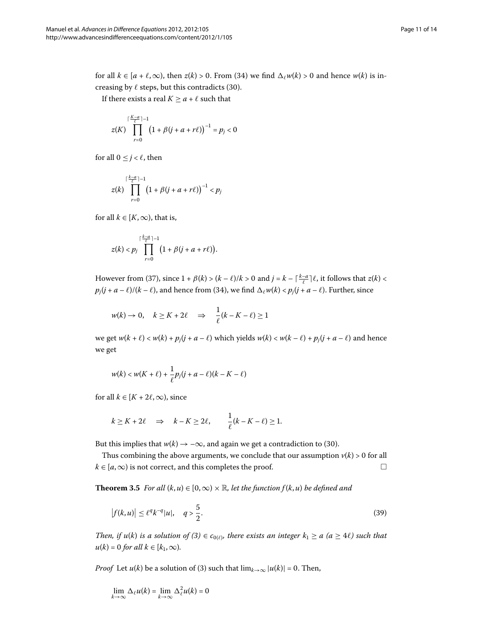for all  $k \in [a + \ell, \infty)$ , then  $z(k) > 0$ . From (34) we find  $\Delta_{\ell} w(k) > 0$  and hence  $w(k)$  is increasing by  $\ell$  steps, but this contradicts (30).

If there exists a real  $K \ge a + \ell$  such that

$$
z(K)\prod_{r=0}^{\lceil \frac{K-a}{\ell} \rceil-1} \left(1+\beta(j+a+r\ell)\right)^{-1} = p_j < 0
$$

for all  $0 \leq j < \ell$ , then

$$
z(k)\prod_{r=0}^{\lceil\frac{k-a}{\ell}\rceil-1}\left(1+\beta(j+a+r\ell)\right)^{-1}
$$

for all  $k \in [K, \infty)$ , that is,

$$
z(k) < p_j \prod_{r=0}^{\lceil \frac{k-a}{\ell} \rceil-1} \big(1+\beta(j+a+r\ell)\big).
$$

However from (37[\)](#page-8-1), since  $1 + \beta(k) > (k - \ell)/k > 0$  and  $j = k - \lceil \frac{k - a}{\ell} \rceil \ell$ , it follows that  $z(k) <$  $p_j(j+a-\ell)/(k-\ell)$ , and hence from (34), we find  $\Delta_\ell w(k) < p_j(j+a-\ell)$ . Further, since

$$
w(k) \to 0, \quad k \ge K + 2\ell \quad \Rightarrow \quad \frac{1}{\ell}(k - K - \ell) \ge 1
$$

we get  $w(k + \ell) < w(k) + p_j(j + a - \ell)$  which yields  $w(k) < w(k - \ell) + p_j(j + a - \ell)$  and hence we get

$$
w(k) < w(K+\ell) + \frac{1}{\ell}p_j(j+a-\ell)(k-K-\ell)
$$

for all  $k \in [K + 2\ell, \infty)$ , since

$$
k \ge K + 2\ell \Rightarrow k - K \ge 2\ell, \frac{1}{\ell}(k - K - \ell) \ge 1.
$$

But this implies that  $w(k) \rightarrow -\infty$ , and again we get a contradiction to (30).

Thus combining the above arguments, we conclude that our assumption  $v(k) > 0$  for all  $k \in [a, \infty)$  is not correct, and this completes the proof.  $\Box$ 

**Theorem 3.5** For all  $(k, u) \in [0, \infty) \times \mathbb{R}$ , let the function  $f(k, u)$  be defined and

$$
|f(k, u)| \le \ell^q k^{-q} |u|, \quad q > \frac{5}{2}.
$$
 (39)

*Then, if u*[\(](#page-1-3)*k*) *is a solution of* (3)  $\in$  *c*<sub>0( $\ell$ )*, there exists an integer*  $k_1 \ge a$  ( $a \ge 4\ell$ ) such that</sub>  $u(k) = 0$  *for all*  $k \in [k_1, \infty)$ *.* 

*Proof* Let *u*(*k*[\)](#page-1-3) be a solution of (3) such that  $\lim_{k\to\infty} |u(k)| = 0$ . Then,

$$
\lim_{k \to \infty} \Delta_{\ell} u(k) = \lim_{k \to \infty} \Delta_{\ell}^{2} u(k) = 0
$$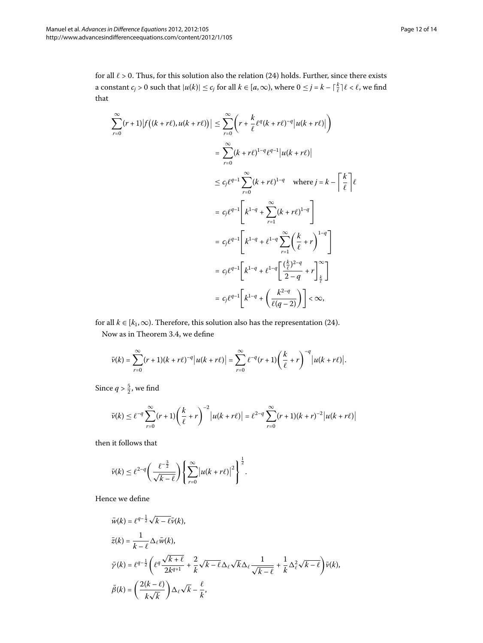for all  $\ell$  > 0. Thus, for this solution also the relation (24) holds. Further, since there exists a constant  $c_j > 0$  such that  $|u(k)| \le c_j$  for all  $k \in [a, \infty)$ , where  $0 \le j = k - \lceil \frac{k}{\ell} \rceil \ell < \ell$ , we find that

$$
\sum_{r=0}^{\infty} (r+1) |f((k+r\ell), u(k+r\ell))| \leq \sum_{r=0}^{\infty} \left( r + \frac{k}{\ell} \ell^{q} (k+r\ell)^{-q} |u(k+r\ell)| \right)
$$
  
\n
$$
= \sum_{r=0}^{\infty} (k+r\ell)^{1-q} \ell^{q-1} |u(k+r\ell)|
$$
  
\n
$$
\leq c_j \ell^{q-1} \sum_{r=0}^{\infty} (k+r\ell)^{1-q} \quad \text{where } j = k - \left\lceil \frac{k}{\ell} \right\rceil \ell
$$
  
\n
$$
= c_j \ell^{q-1} \left[ k^{1-q} + \sum_{r=1}^{\infty} (k+r\ell)^{1-q} \right]
$$
  
\n
$$
= c_j \ell^{q-1} \left[ k^{1-q} + \ell^{1-q} \sum_{r=1}^{\infty} \left( \frac{k}{\ell} + r \right)^{1-q} \right]
$$
  
\n
$$
= c_j \ell^{q-1} \left[ k^{1-q} + \ell^{1-q} \left[ \frac{\left( \frac{k}{\ell} \right)^{2-q}}{2-q} + r \right]_{\frac{k}{\ell}}^{\infty} \right]
$$
  
\n
$$
= c_j \ell^{q-1} \left[ k^{1-q} + \left( \frac{k^{2-q}}{\ell(q-2)} \right) \right] < \infty,
$$

for all  $k \in [k_1, \infty)$ . Therefore, this solution also has the representation (24). Now as in Theorem 3[.](#page-6-4)4, we define

$$
\bar{\nu}(k)=\sum_{r=0}^{\infty}(r+1)(k+r\ell)^{-q}\big|u(k+r\ell)\big|=\sum_{r=0}^{\infty}\ell^{-q}(r+1)\bigg(\frac{k}{\ell}+r\bigg)^{-q}\big|u(k+r\ell)\big|.
$$

Since  $q > \frac{5}{2}$ , we find

$$
\bar{\nu}(k) \leq \ell^{-q} \sum_{r=0}^{\infty} (r+1) \left( \frac{k}{\ell} + r \right)^{-2} |u(k+r\ell)| = \ell^{2-q} \sum_{r=0}^{\infty} (r+1)(k+r)^{-2} |u(k+r\ell)|
$$

then it follows that

$$
\bar{\nu}(k) \leq \ell^{2-q} \left( \frac{\ell^{-\frac{3}{2}}}{\sqrt{k-\ell}} \right) \left\{ \sum_{r=0}^{\infty} \left| u(k+r\ell) \right|^2 \right\}^{\frac{1}{2}}.
$$

Hence we define

$$
\bar{w}(k) = \ell^{q-\frac{1}{2}} \sqrt{k - \ell} \bar{v}(k),
$$
\n
$$
\bar{z}(k) = \frac{1}{k - \ell} \Delta_{\ell} \bar{w}(k),
$$
\n
$$
\bar{\gamma}(k) = \ell^{q-\frac{1}{2}} \left( \ell^{q} \frac{\sqrt{k + \ell}}{2k^{q+1}} + \frac{2}{k} \sqrt{k - \ell} \Delta_{\ell} \sqrt{k} \Delta_{\ell} \frac{1}{\sqrt{k - \ell}} + \frac{1}{k} \Delta_{\ell}^{2} \sqrt{k - \ell} \right) \bar{v}(k),
$$
\n
$$
\bar{\beta}(k) = \left( \frac{2(k - \ell)}{k \sqrt{k}} \right) \Delta_{\ell} \sqrt{k} - \frac{\ell}{k},
$$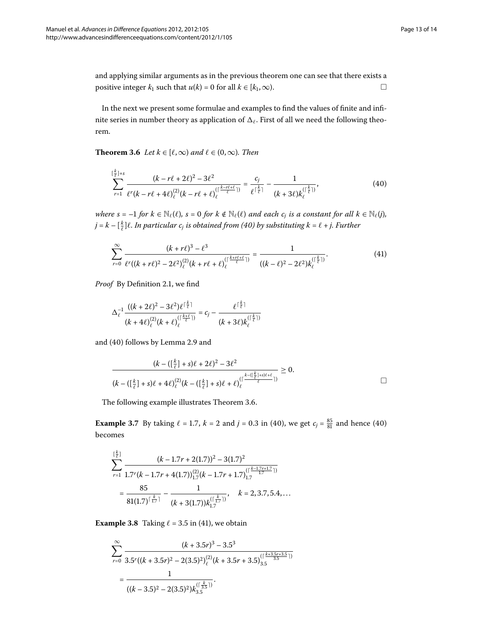<span id="page-12-1"></span>and applying similar arguments as in the previous theorem one can see that there exists a positive integer  $k_1$  such that  $u(k) = 0$  for all  $k \in [k_1, \infty)$ .  $\Box$ 

In the next we present some formulae and examples to find the values of finite and infinite series in number theory as application of  $\Delta_\ell.$  First of all we need the following theorem.

**Theorem 3.6** Let  $k \in [\ell, \infty)$  and  $\ell \in (0, \infty)$ . Then

<span id="page-12-2"></span><span id="page-12-0"></span>
$$
\sum_{r=1}^{\left[\frac{k}{\ell}\right]+s} \frac{(k-r\ell+2\ell)^2 - 3\ell^2}{\ell^r (k-r\ell+4\ell)_{\ell}^{(2)} (k-r\ell+\ell)_{\ell}^{(\left[\frac{k-r\ell+\ell}{\ell}\right])}} = \frac{c_j}{\ell^{\left[\frac{k}{\ell}\right]}} - \frac{1}{(k+3\ell)k_{\ell}^{(\left[\frac{k}{\ell}\right])}},\tag{40}
$$

*where*  $s = -1$  *for*  $k \in \mathbb{N}_{\ell}(\ell)$ ,  $s = 0$  *for*  $k \notin \mathbb{N}_{\ell}(\ell)$  *and each*  $c_j$  *is a constant for all*  $k \in \mathbb{N}_{\ell}(j)$ ,  $j = k - [\frac{k}{\ell}]\ell$ . In particular  $c_j$  is obtained from [\(](#page-12-0)40) by substituting  $k = \ell + j$ . Further

$$
\sum_{r=0}^{\infty} \frac{(k+r\ell)^3 - \ell^3}{\ell^r((k+r\ell)^2 - 2\ell^2)_{\ell}^{(2)}(k+r\ell+\ell)_{\ell}^{(\lceil \frac{k+r\ell+\ell}{\ell} \rceil)}} = \frac{1}{((k-\ell)^2 - 2\ell^2)k_{\ell}^{(\lceil \frac{k}{\ell} \rceil)}}.
$$
(41)

*Proof* By Definition 2.1, we find

$$
\Delta_{\ell}^{-1} \frac{((k+2\ell)^2 - 3\ell^2)\ell^{\lceil \frac{k}{\ell} \rceil}}{(k+4\ell)_{\ell}^{(2)}(k+\ell)_{\ell}^{\lceil \frac{k+\ell}{\ell} \rceil}} = c_j - \frac{\ell^{\lceil \frac{k}{\ell} \rceil}}{(k+3\ell)k_{\ell}^{\lceil \frac{k}{\ell} \rceil}}
$$

and [\(](#page-12-0)40) follows by Lemma 2[.](#page-2-5)9 and

$$
\frac{(k - (\lfloor \frac{k}{\ell} \rfloor + s)\ell + 2\ell)^2 - 3\ell^2}{(k - (\lfloor \frac{k}{\ell} \rfloor + s)\ell + 4\ell)_{\ell}^{(2)}(k - (\lfloor \frac{k}{\ell} \rfloor + s)\ell + \ell)_{\ell}^{(\lceil \frac{k - (\lfloor \frac{k}{\ell} \rfloor + s)\ell + \ell}{\ell})} \geq 0.
$$

The following example illustrates Theorem 3[.](#page-12-1)6.

**Example 3.7** By taking  $\ell = 1.7$ ,  $k = 2$  and  $j = 0.3$  in [\(](#page-12-0)40), we get  $c_j = \frac{85}{81}$  and hence (40) becomes

$$
\sum_{r=1}^{\lceil \frac{k}{\ell} \rceil} \frac{(k-1.7r+2(1.7))^2 - 3(1.7)^2}{1.7^r (k-1.7r+4(1.7))_{1.7}^{(2)} (k-1.7r+1.7)_{1.7}^{(\lceil \frac{k-1.7r+1.7}{1.7} \rceil)}} = \frac{85}{81(1.7)^{\lceil \frac{k}{1.7} \rceil}} - \frac{1}{(k+3(1.7))k_{1.7}^{(\lceil \frac{k}{1.7} \rceil)}}, \quad k = 2, 3.7, 5.4, \dots
$$

**Example 3.8** Taking  $\ell = 3.5$  in (41), we obtain

$$
\sum_{r=0}^{\infty} \frac{(k+3.5r)^3 - 3.5^3}{3.5^r((k+3.5r)^2 - 2(3.5)^2)_{\ell}^{(2)}(k+3.5r+3.5)^{(\lceil \frac{k+3.5r+3.5}{3.5} \rceil)}}{1}
$$
  
= 
$$
\frac{1}{((k-3.5)^2 - 2(3.5)^2)k_{3.5}^{(\lceil \frac{k}{3.5} \rceil)}}.
$$